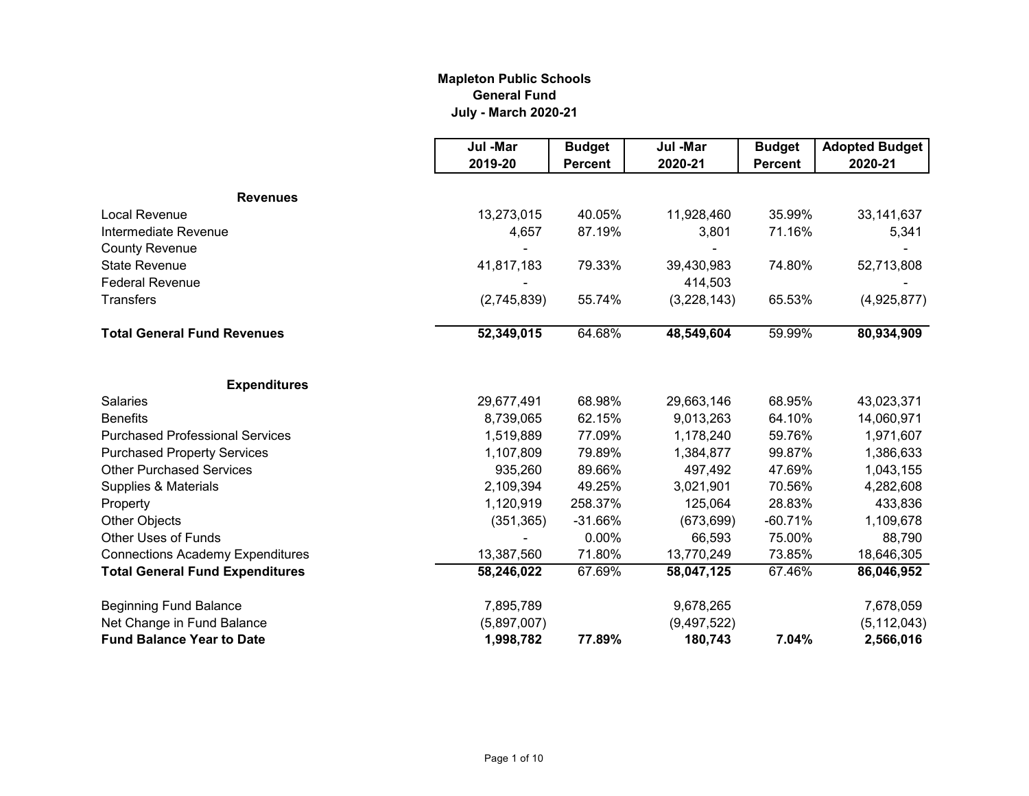# **Mapleton Public Schools General Fund July - March 2020-21**

|                                         | Jul -Mar    | <b>Budget</b>  | Jul -Mar    | <b>Budget</b>  | <b>Adopted Budget</b> |
|-----------------------------------------|-------------|----------------|-------------|----------------|-----------------------|
|                                         | 2019-20     | <b>Percent</b> | 2020-21     | <b>Percent</b> | 2020-21               |
| <b>Revenues</b>                         |             |                |             |                |                       |
| Local Revenue                           | 13,273,015  | 40.05%         | 11,928,460  | 35.99%         | 33, 141, 637          |
| Intermediate Revenue                    | 4,657       | 87.19%         | 3,801       | 71.16%         | 5,341                 |
| <b>County Revenue</b>                   |             |                |             |                |                       |
| <b>State Revenue</b>                    | 41,817,183  | 79.33%         | 39,430,983  | 74.80%         | 52,713,808            |
| <b>Federal Revenue</b>                  |             |                | 414,503     |                |                       |
| <b>Transfers</b>                        | (2,745,839) | 55.74%         | (3,228,143) | 65.53%         | (4,925,877)           |
| <b>Total General Fund Revenues</b>      | 52,349,015  | 64.68%         | 48,549,604  | 59.99%         | 80,934,909            |
| <b>Expenditures</b>                     |             |                |             |                |                       |
| Salaries                                | 29,677,491  | 68.98%         | 29,663,146  | 68.95%         | 43,023,371            |
| <b>Benefits</b>                         | 8,739,065   | 62.15%         | 9,013,263   | 64.10%         | 14,060,971            |
| <b>Purchased Professional Services</b>  | 1,519,889   | 77.09%         | 1,178,240   | 59.76%         | 1,971,607             |
| <b>Purchased Property Services</b>      | 1,107,809   | 79.89%         | 1,384,877   | 99.87%         | 1,386,633             |
| <b>Other Purchased Services</b>         | 935,260     | 89.66%         | 497,492     | 47.69%         | 1,043,155             |
| Supplies & Materials                    | 2,109,394   | 49.25%         | 3,021,901   | 70.56%         | 4,282,608             |
| Property                                | 1,120,919   | 258.37%        | 125,064     | 28.83%         | 433,836               |
| <b>Other Objects</b>                    | (351, 365)  | $-31.66%$      | (673, 699)  | $-60.71%$      | 1,109,678             |
| <b>Other Uses of Funds</b>              |             | 0.00%          | 66,593      | 75.00%         | 88,790                |
| <b>Connections Academy Expenditures</b> | 13,387,560  | 71.80%         | 13,770,249  | 73.85%         | 18,646,305            |
| <b>Total General Fund Expenditures</b>  | 58,246,022  | 67.69%         | 58,047,125  | 67.46%         | 86,046,952            |
| <b>Beginning Fund Balance</b>           | 7,895,789   |                | 9,678,265   |                | 7,678,059             |
| Net Change in Fund Balance              | (5,897,007) |                | (9,497,522) |                | (5, 112, 043)         |
| <b>Fund Balance Year to Date</b>        | 1,998,782   | 77.89%         | 180,743     | 7.04%          | 2,566,016             |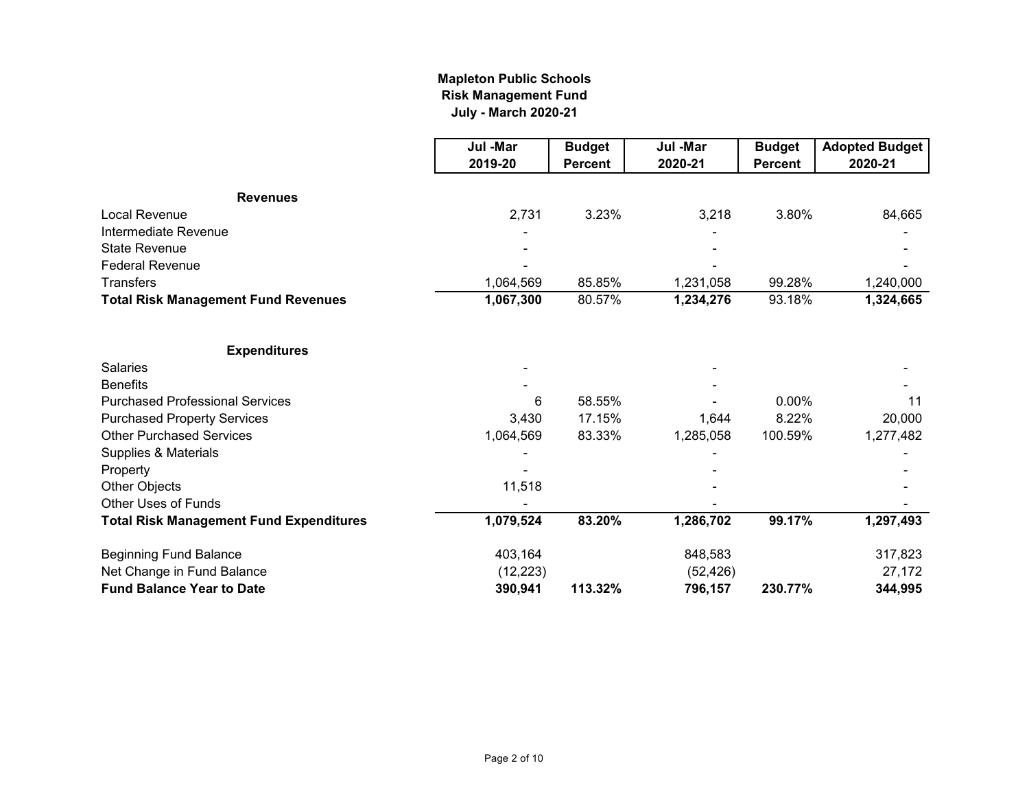### **July - March 2020-21 Mapleton Public Schools Risk Management Fund**

|                                                | Jul -Mar  | <b>Budget</b>  | Jul -Mar  | <b>Budget</b>  | <b>Adopted Budget</b> |
|------------------------------------------------|-----------|----------------|-----------|----------------|-----------------------|
|                                                | 2019-20   | <b>Percent</b> | 2020-21   | <b>Percent</b> | 2020-21               |
| <b>Revenues</b>                                |           |                |           |                |                       |
| <b>Local Revenue</b>                           | 2,731     | 3.23%          | 3,218     | 3.80%          | 84,665                |
| Intermediate Revenue                           |           |                |           |                |                       |
| <b>State Revenue</b>                           |           |                |           |                |                       |
| <b>Federal Revenue</b>                         |           |                |           |                |                       |
| <b>Transfers</b>                               | 1,064,569 | 85.85%         | 1,231,058 | 99.28%         | 1,240,000             |
| <b>Total Risk Management Fund Revenues</b>     | 1,067,300 | 80.57%         | 1,234,276 | 93.18%         | 1,324,665             |
| <b>Expenditures</b>                            |           |                |           |                |                       |
| <b>Salaries</b>                                |           |                |           |                |                       |
| <b>Benefits</b>                                |           |                |           |                |                       |
| <b>Purchased Professional Services</b>         | 6         | 58.55%         |           | $0.00\%$       | 11                    |
| <b>Purchased Property Services</b>             | 3,430     | 17.15%         | 1,644     | 8.22%          | 20,000                |
| <b>Other Purchased Services</b>                | 1,064,569 | 83.33%         | 1,285,058 | 100.59%        | 1,277,482             |
| Supplies & Materials                           |           |                |           |                |                       |
| Property                                       |           |                |           |                |                       |
| Other Objects                                  | 11,518    |                |           |                |                       |
| <b>Other Uses of Funds</b>                     |           |                |           |                |                       |
| <b>Total Risk Management Fund Expenditures</b> | 1,079,524 | 83.20%         | 1,286,702 | 99.17%         | 1,297,493             |
| <b>Beginning Fund Balance</b>                  | 403,164   |                | 848,583   |                | 317,823               |
| Net Change in Fund Balance                     | (12, 223) |                | (52, 426) |                | 27,172                |
| <b>Fund Balance Year to Date</b>               | 390,941   | 113.32%        | 796,157   | 230.77%        | 344,995               |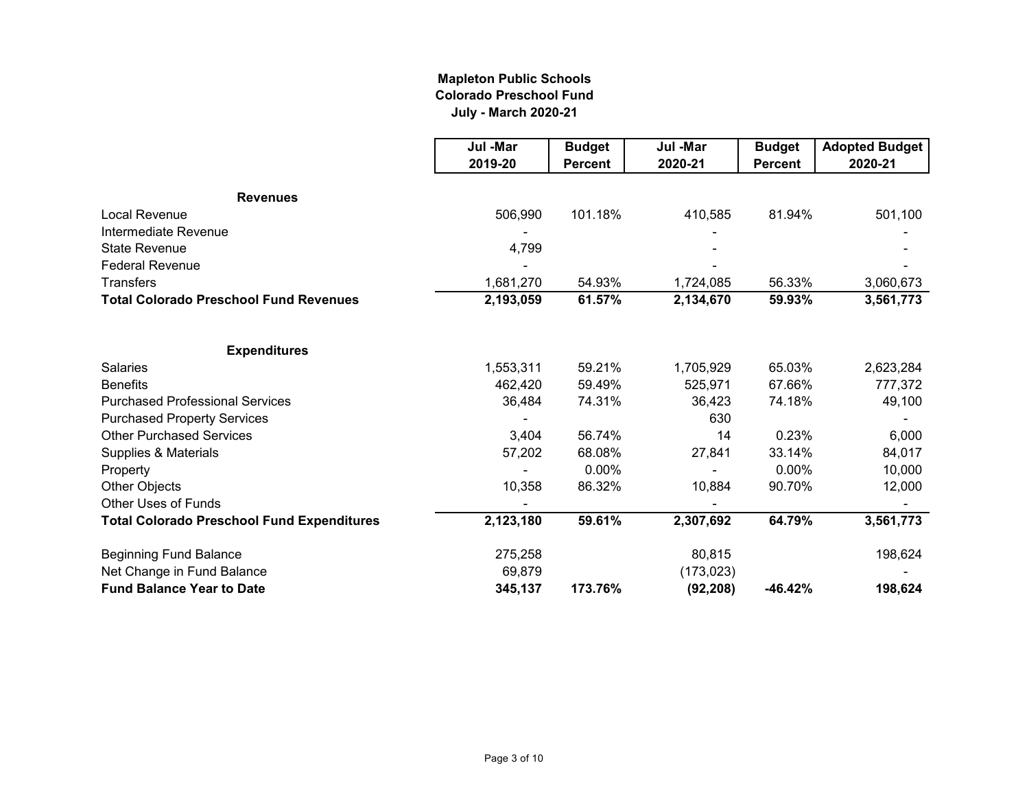### **Mapleton Public Schools Colorado Preschool Fund July - March 2020-21**

|                                                   | Jul -Mar  | <b>Budget</b>  | Jul -Mar   | <b>Budget</b>  | <b>Adopted Budget</b> |
|---------------------------------------------------|-----------|----------------|------------|----------------|-----------------------|
|                                                   | 2019-20   | <b>Percent</b> | 2020-21    | <b>Percent</b> | 2020-21               |
| <b>Revenues</b>                                   |           |                |            |                |                       |
| <b>Local Revenue</b>                              | 506,990   | 101.18%        | 410,585    | 81.94%         | 501,100               |
| Intermediate Revenue                              |           |                |            |                |                       |
| <b>State Revenue</b>                              | 4,799     |                |            |                |                       |
| <b>Federal Revenue</b>                            |           |                |            |                |                       |
| <b>Transfers</b>                                  | 1,681,270 | 54.93%         | 1,724,085  | 56.33%         | 3,060,673             |
| <b>Total Colorado Preschool Fund Revenues</b>     | 2,193,059 | 61.57%         | 2,134,670  | 59.93%         | 3,561,773             |
| <b>Expenditures</b>                               |           |                |            |                |                       |
| <b>Salaries</b>                                   | 1,553,311 | 59.21%         | 1,705,929  | 65.03%         | 2,623,284             |
| <b>Benefits</b>                                   | 462,420   | 59.49%         | 525,971    | 67.66%         | 777,372               |
| <b>Purchased Professional Services</b>            | 36,484    | 74.31%         | 36,423     | 74.18%         | 49,100                |
| <b>Purchased Property Services</b>                |           |                | 630        |                |                       |
| <b>Other Purchased Services</b>                   | 3,404     | 56.74%         | 14         | 0.23%          | 6,000                 |
| Supplies & Materials                              | 57,202    | 68.08%         | 27,841     | 33.14%         | 84,017                |
| Property                                          |           | $0.00\%$       |            | 0.00%          | 10,000                |
| Other Objects                                     | 10,358    | 86.32%         | 10,884     | 90.70%         | 12,000                |
| <b>Other Uses of Funds</b>                        |           |                |            |                |                       |
| <b>Total Colorado Preschool Fund Expenditures</b> | 2,123,180 | 59.61%         | 2,307,692  | 64.79%         | 3,561,773             |
| <b>Beginning Fund Balance</b>                     | 275,258   |                | 80,815     |                | 198,624               |
| Net Change in Fund Balance                        | 69,879    |                | (173, 023) |                |                       |
| <b>Fund Balance Year to Date</b>                  | 345,137   | 173.76%        | (92, 208)  | $-46.42%$      | 198,624               |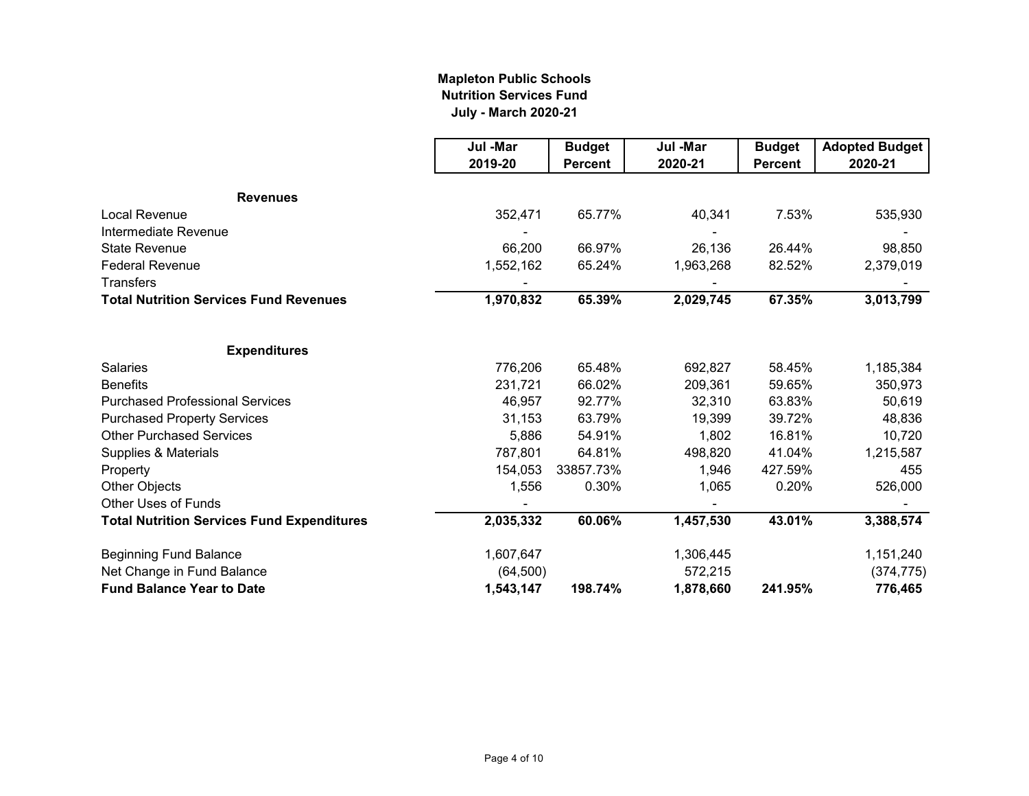### **Mapleton Public Schools Nutrition Services Fund July - March 2020-21**

|                                                   | Jul -Mar  | <b>Budget</b>  | Jul -Mar  | <b>Budget</b>  | <b>Adopted Budget</b> |
|---------------------------------------------------|-----------|----------------|-----------|----------------|-----------------------|
|                                                   | 2019-20   | <b>Percent</b> | 2020-21   | <b>Percent</b> | 2020-21               |
| <b>Revenues</b>                                   |           |                |           |                |                       |
| Local Revenue                                     | 352,471   | 65.77%         | 40,341    | 7.53%          | 535,930               |
| Intermediate Revenue                              |           |                |           |                |                       |
| <b>State Revenue</b>                              | 66,200    | 66.97%         | 26,136    | 26.44%         | 98,850                |
| <b>Federal Revenue</b>                            | 1,552,162 | 65.24%         | 1,963,268 | 82.52%         | 2,379,019             |
| <b>Transfers</b>                                  |           |                |           |                |                       |
| <b>Total Nutrition Services Fund Revenues</b>     | 1,970,832 | 65.39%         | 2,029,745 | 67.35%         | 3,013,799             |
| <b>Expenditures</b>                               |           |                |           |                |                       |
| <b>Salaries</b>                                   | 776,206   | 65.48%         | 692,827   | 58.45%         | 1,185,384             |
| <b>Benefits</b>                                   | 231,721   | 66.02%         | 209,361   | 59.65%         | 350,973               |
| <b>Purchased Professional Services</b>            | 46,957    | 92.77%         | 32,310    | 63.83%         | 50,619                |
| <b>Purchased Property Services</b>                | 31,153    | 63.79%         | 19,399    | 39.72%         | 48,836                |
| <b>Other Purchased Services</b>                   | 5,886     | 54.91%         | 1,802     | 16.81%         | 10,720                |
| Supplies & Materials                              | 787,801   | 64.81%         | 498,820   | 41.04%         | 1,215,587             |
| Property                                          | 154,053   | 33857.73%      | 1,946     | 427.59%        | 455                   |
| Other Objects                                     | 1,556     | 0.30%          | 1,065     | 0.20%          | 526,000               |
| <b>Other Uses of Funds</b>                        |           |                |           |                |                       |
| <b>Total Nutrition Services Fund Expenditures</b> | 2,035,332 | 60.06%         | 1,457,530 | 43.01%         | 3,388,574             |
| <b>Beginning Fund Balance</b>                     | 1,607,647 |                | 1,306,445 |                | 1,151,240             |
| Net Change in Fund Balance                        | (64, 500) |                | 572,215   |                | (374, 775)            |
| <b>Fund Balance Year to Date</b>                  | 1,543,147 | 198.74%        | 1,878,660 | 241.95%        | 776,465               |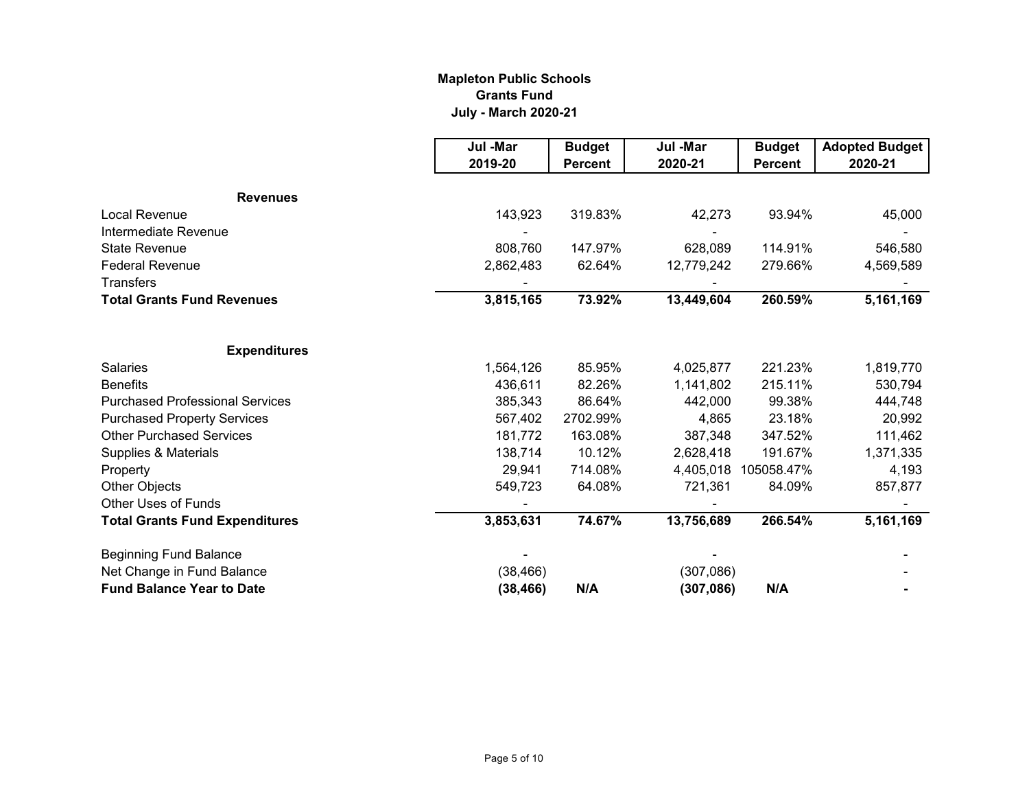### **Mapleton Public Schools Grants Fund July - March 2020-21**

|                                        | Jul -Mar  | <b>Budget</b>    | Jul -Mar   | <b>Budget</b>  | <b>Adopted Budget</b> |
|----------------------------------------|-----------|------------------|------------|----------------|-----------------------|
|                                        | 2019-20   | <b>Percent</b>   | 2020-21    | <b>Percent</b> | 2020-21               |
|                                        |           |                  |            |                |                       |
| <b>Revenues</b>                        |           |                  |            |                |                       |
| Local Revenue                          | 143,923   | 319.83%          | 42,273     | 93.94%         | 45,000                |
| Intermediate Revenue                   |           |                  |            |                |                       |
| <b>State Revenue</b>                   | 808,760   | 147.97%          | 628,089    | 114.91%        | 546,580               |
| <b>Federal Revenue</b>                 | 2,862,483 | 62.64%           | 12,779,242 | 279.66%        | 4,569,589             |
| <b>Transfers</b>                       |           |                  |            |                |                       |
| <b>Total Grants Fund Revenues</b>      | 3,815,165 | 73.92%           | 13,449,604 | 260.59%        | 5,161,169             |
|                                        |           |                  |            |                |                       |
| <b>Expenditures</b>                    |           |                  |            | 221.23%        |                       |
| <b>Salaries</b><br><b>Benefits</b>     | 1,564,126 | 85.95%<br>82.26% | 4,025,877  | 215.11%        | 1,819,770             |
| <b>Purchased Professional Services</b> | 436,611   | 86.64%           | 1,141,802  |                | 530,794               |
|                                        | 385,343   |                  | 442,000    | 99.38%         | 444,748               |
| <b>Purchased Property Services</b>     | 567,402   | 2702.99%         | 4,865      | 23.18%         | 20,992                |
| <b>Other Purchased Services</b>        | 181,772   | 163.08%          | 387,348    | 347.52%        | 111,462               |
| Supplies & Materials                   | 138,714   | 10.12%           | 2,628,418  | 191.67%        | 1,371,335             |
| Property                               | 29,941    | 714.08%          | 4,405,018  | 105058.47%     | 4,193                 |
| <b>Other Objects</b>                   | 549,723   | 64.08%           | 721,361    | 84.09%         | 857,877               |
| <b>Other Uses of Funds</b>             |           |                  |            |                |                       |
| <b>Total Grants Fund Expenditures</b>  | 3,853,631 | 74.67%           | 13,756,689 | 266.54%        | 5,161,169             |
| <b>Beginning Fund Balance</b>          |           |                  |            |                |                       |
| Net Change in Fund Balance             | (38, 466) |                  | (307,086)  |                |                       |
| <b>Fund Balance Year to Date</b>       | (38, 466) | N/A              | (307, 086) | N/A            |                       |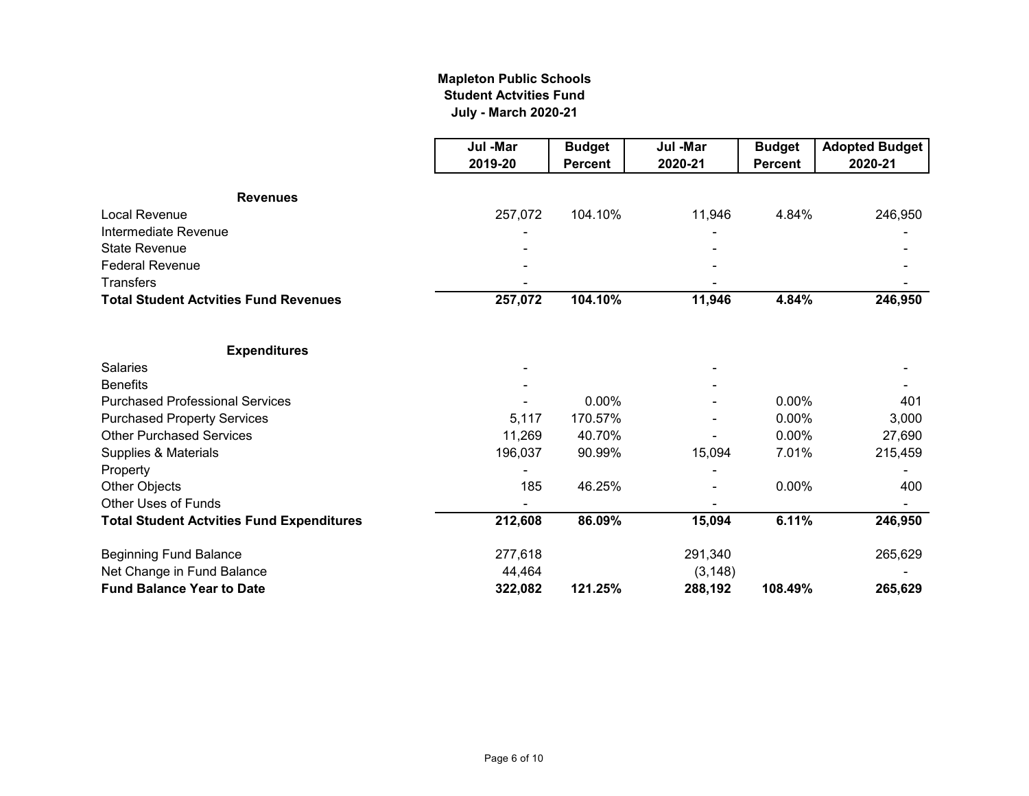### **July - March 2020-21 Mapleton Public Schools Student Actvities Fund**

|                                                  | Jul -Mar | <b>Budget</b>  | Jul -Mar | <b>Budget</b>  | <b>Adopted Budget</b> |
|--------------------------------------------------|----------|----------------|----------|----------------|-----------------------|
|                                                  | 2019-20  | <b>Percent</b> | 2020-21  | <b>Percent</b> | 2020-21               |
| <b>Revenues</b>                                  |          |                |          |                |                       |
| <b>Local Revenue</b>                             | 257,072  | 104.10%        | 11,946   | 4.84%          | 246,950               |
| Intermediate Revenue                             |          |                |          |                |                       |
| <b>State Revenue</b>                             |          |                |          |                |                       |
| <b>Federal Revenue</b>                           |          |                |          |                |                       |
| <b>Transfers</b>                                 |          |                |          |                |                       |
| <b>Total Student Actvities Fund Revenues</b>     | 257,072  | 104.10%        | 11,946   | 4.84%          | 246,950               |
| <b>Expenditures</b>                              |          |                |          |                |                       |
| <b>Salaries</b>                                  |          |                |          |                |                       |
| <b>Benefits</b>                                  |          |                |          |                |                       |
| <b>Purchased Professional Services</b>           |          | 0.00%          |          | 0.00%          | 401                   |
| <b>Purchased Property Services</b>               | 5,117    | 170.57%        |          | 0.00%          | 3,000                 |
| <b>Other Purchased Services</b>                  | 11,269   | 40.70%         |          | $0.00\%$       | 27,690                |
| Supplies & Materials                             | 196,037  | 90.99%         | 15,094   | 7.01%          | 215,459               |
| Property                                         |          |                |          |                |                       |
| Other Objects                                    | 185      | 46.25%         |          | 0.00%          | 400                   |
| <b>Other Uses of Funds</b>                       |          |                |          |                |                       |
| <b>Total Student Actvities Fund Expenditures</b> | 212,608  | 86.09%         | 15,094   | 6.11%          | 246,950               |
| <b>Beginning Fund Balance</b>                    | 277,618  |                | 291,340  |                | 265,629               |
| Net Change in Fund Balance                       | 44,464   |                | (3, 148) |                |                       |
| <b>Fund Balance Year to Date</b>                 | 322,082  | 121.25%        | 288,192  | 108.49%        | 265,629               |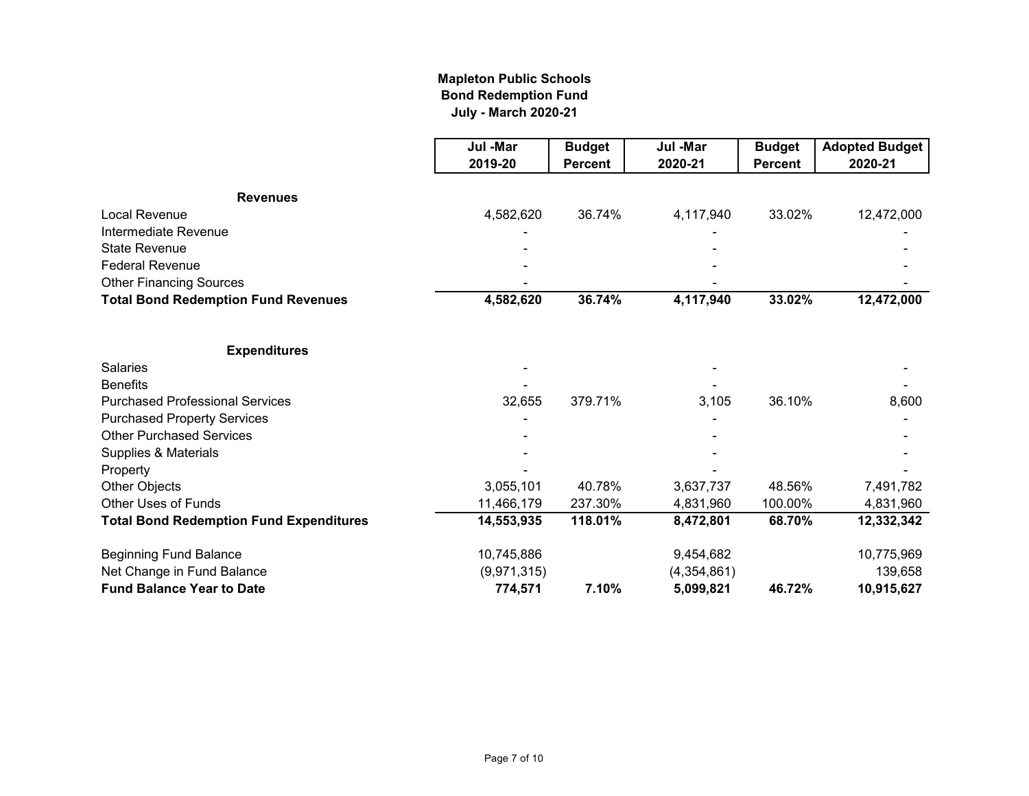### **Mapleton Public Schools Bond Redemption Fund July - March 2020-21**

|                                                | Jul -Mar    | <b>Budget</b>  | Jul -Mar    | <b>Budget</b>  | <b>Adopted Budget</b> |
|------------------------------------------------|-------------|----------------|-------------|----------------|-----------------------|
|                                                | 2019-20     | <b>Percent</b> | 2020-21     | <b>Percent</b> | 2020-21               |
| <b>Revenues</b>                                |             |                |             |                |                       |
| <b>Local Revenue</b>                           | 4,582,620   | 36.74%         | 4,117,940   | 33.02%         | 12,472,000            |
| Intermediate Revenue                           |             |                |             |                |                       |
| <b>State Revenue</b>                           |             |                |             |                |                       |
| <b>Federal Revenue</b>                         |             |                |             |                |                       |
| <b>Other Financing Sources</b>                 |             |                |             |                |                       |
| <b>Total Bond Redemption Fund Revenues</b>     | 4,582,620   | 36.74%         | 4,117,940   | 33.02%         | 12,472,000            |
|                                                |             |                |             |                |                       |
| <b>Expenditures</b>                            |             |                |             |                |                       |
| <b>Salaries</b>                                |             |                |             |                |                       |
| <b>Benefits</b>                                |             |                |             |                |                       |
| <b>Purchased Professional Services</b>         | 32,655      | 379.71%        | 3,105       | 36.10%         | 8,600                 |
| <b>Purchased Property Services</b>             |             |                |             |                |                       |
| <b>Other Purchased Services</b>                |             |                |             |                |                       |
| Supplies & Materials                           |             |                |             |                |                       |
| Property                                       |             |                |             |                |                       |
| Other Objects                                  | 3,055,101   | 40.78%         | 3,637,737   | 48.56%         | 7,491,782             |
| Other Uses of Funds                            | 11,466,179  | 237.30%        | 4,831,960   | 100.00%        | 4,831,960             |
| <b>Total Bond Redemption Fund Expenditures</b> | 14,553,935  | 118.01%        | 8,472,801   | 68.70%         | 12,332,342            |
| <b>Beginning Fund Balance</b>                  | 10,745,886  |                | 9,454,682   |                | 10,775,969            |
| Net Change in Fund Balance                     | (9,971,315) |                | (4,354,861) |                | 139,658               |
| <b>Fund Balance Year to Date</b>               | 774,571     | 7.10%          | 5,099,821   | 46.72%         | 10,915,627            |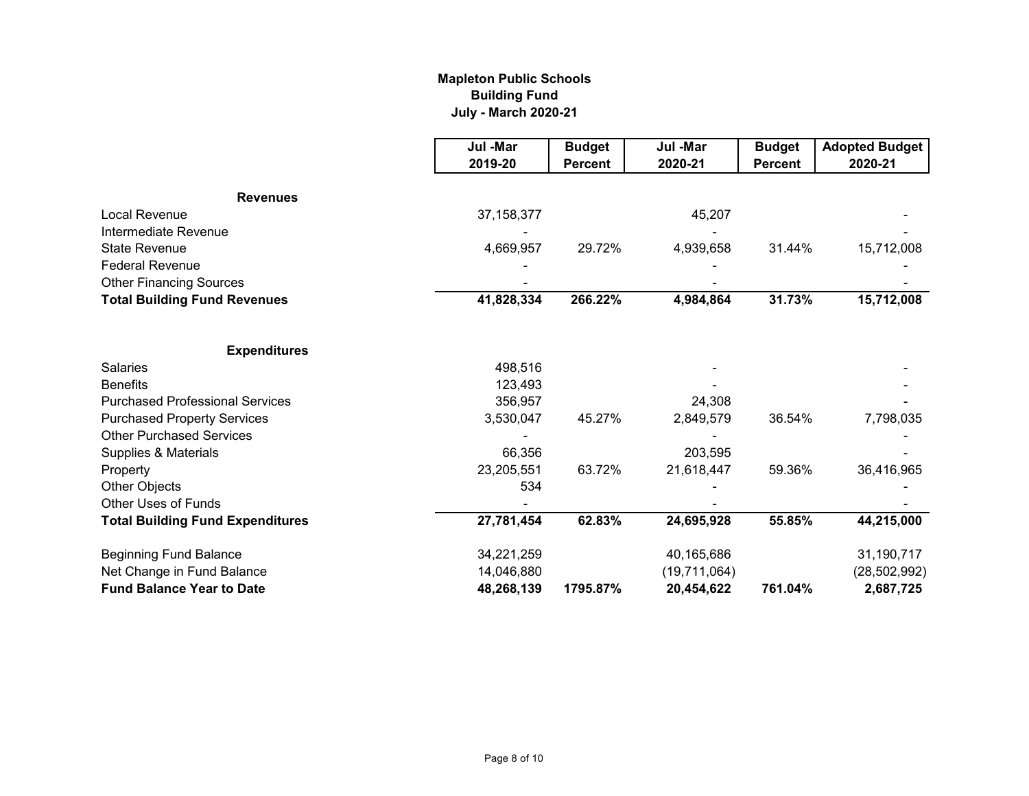### **Mapleton Public Schools Building Fund July - March 2020-21**

|                                         | Jul -Mar     | <b>Budget</b>  | Jul -Mar     | <b>Budget</b>  | <b>Adopted Budget</b> |
|-----------------------------------------|--------------|----------------|--------------|----------------|-----------------------|
|                                         | 2019-20      | <b>Percent</b> | 2020-21      | <b>Percent</b> | 2020-21               |
| <b>Revenues</b>                         |              |                |              |                |                       |
| <b>Local Revenue</b>                    | 37, 158, 377 |                | 45,207       |                |                       |
| Intermediate Revenue                    |              |                |              |                |                       |
| <b>State Revenue</b>                    | 4,669,957    | 29.72%         | 4,939,658    | 31.44%         | 15,712,008            |
| <b>Federal Revenue</b>                  |              |                |              |                |                       |
| <b>Other Financing Sources</b>          |              |                |              |                |                       |
| <b>Total Building Fund Revenues</b>     | 41,828,334   | 266.22%        | 4,984,864    | 31.73%         | 15,712,008            |
| <b>Expenditures</b>                     |              |                |              |                |                       |
| <b>Salaries</b>                         | 498,516      |                |              |                |                       |
| <b>Benefits</b>                         | 123,493      |                |              |                |                       |
| <b>Purchased Professional Services</b>  | 356,957      |                | 24,308       |                |                       |
| <b>Purchased Property Services</b>      | 3,530,047    | 45.27%         | 2,849,579    | 36.54%         | 7,798,035             |
| <b>Other Purchased Services</b>         |              |                |              |                |                       |
| Supplies & Materials                    | 66,356       |                | 203,595      |                |                       |
| Property                                | 23,205,551   | 63.72%         | 21,618,447   | 59.36%         | 36,416,965            |
| Other Objects                           | 534          |                |              |                |                       |
| <b>Other Uses of Funds</b>              |              |                |              |                |                       |
| <b>Total Building Fund Expenditures</b> | 27,781,454   | 62.83%         | 24,695,928   | 55.85%         | 44,215,000            |
| <b>Beginning Fund Balance</b>           | 34,221,259   |                | 40,165,686   |                | 31,190,717            |
| Net Change in Fund Balance              | 14,046,880   |                | (19,711,064) |                | (28, 502, 992)        |
| <b>Fund Balance Year to Date</b>        | 48,268,139   | 1795.87%       | 20,454,622   | 761.04%        | 2,687,725             |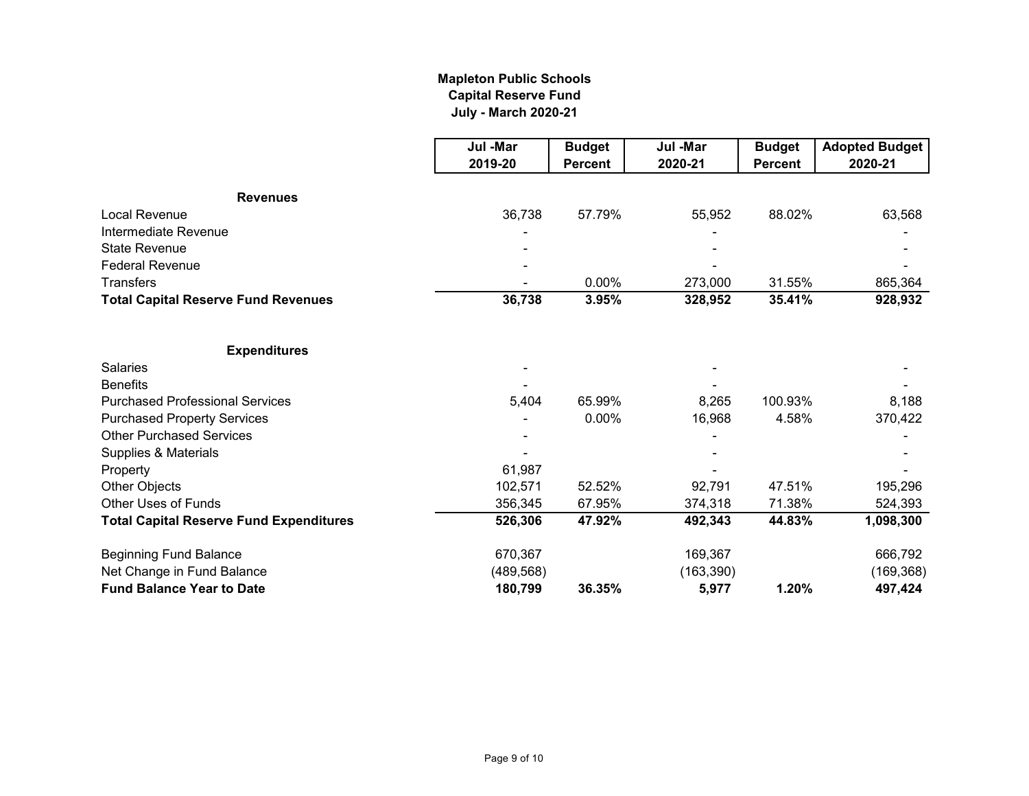### **Mapleton Public Schools Capital Reserve Fund July - March 2020-21**

|                                                | Jul -Mar   | <b>Budget</b>  | Jul -Mar   | <b>Budget</b>  | <b>Adopted Budget</b> |
|------------------------------------------------|------------|----------------|------------|----------------|-----------------------|
|                                                | 2019-20    | <b>Percent</b> | 2020-21    | <b>Percent</b> | 2020-21               |
| <b>Revenues</b>                                |            |                |            |                |                       |
| Local Revenue                                  | 36,738     | 57.79%         | 55,952     | 88.02%         | 63,568                |
| Intermediate Revenue                           |            |                |            |                |                       |
| <b>State Revenue</b>                           |            |                |            |                |                       |
| <b>Federal Revenue</b>                         |            |                |            |                |                       |
| Transfers                                      |            | 0.00%          | 273,000    | 31.55%         | 865,364               |
| <b>Total Capital Reserve Fund Revenues</b>     | 36,738     | 3.95%          | 328,952    | 35.41%         | 928,932               |
| <b>Expenditures</b>                            |            |                |            |                |                       |
| <b>Salaries</b>                                |            |                |            |                |                       |
| <b>Benefits</b>                                |            |                |            |                |                       |
| <b>Purchased Professional Services</b>         | 5,404      | 65.99%         | 8,265      | 100.93%        | 8,188                 |
| <b>Purchased Property Services</b>             |            | 0.00%          | 16,968     | 4.58%          | 370,422               |
| <b>Other Purchased Services</b>                |            |                |            |                |                       |
| Supplies & Materials                           |            |                |            |                |                       |
| Property                                       | 61,987     |                |            |                |                       |
| Other Objects                                  | 102,571    | 52.52%         | 92,791     | 47.51%         | 195,296               |
| Other Uses of Funds                            | 356,345    | 67.95%         | 374,318    | 71.38%         | 524,393               |
| <b>Total Capital Reserve Fund Expenditures</b> | 526,306    | 47.92%         | 492,343    | 44.83%         | 1,098,300             |
| <b>Beginning Fund Balance</b>                  | 670,367    |                | 169,367    |                | 666,792               |
| Net Change in Fund Balance                     | (489, 568) |                | (163, 390) |                | (169, 368)            |
| <b>Fund Balance Year to Date</b>               | 180,799    | 36.35%         | 5,977      | 1.20%          | 497,424               |